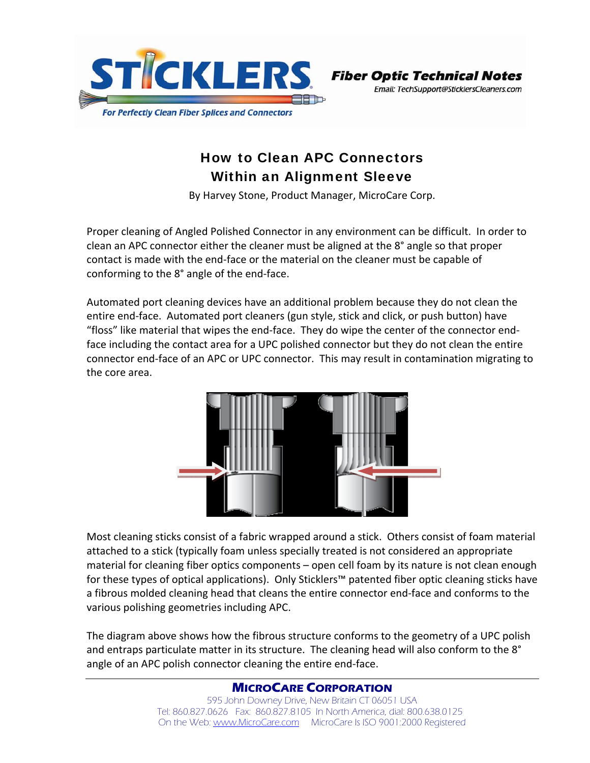

**Fiber Optic Technical Notes** Email: TechSupport@SticklersCleaners.com

## How to Clean APC Connectors Within an Alignment Sleeve

By Harvey Stone, Product Manager, MicroCare Corp.

Proper cleaning of Angled Polished Connector in any environment can be difficult. In order to clean an APC connector either the cleaner must be aligned at the 8° angle so that proper contact is made with the end‐face or the material on the cleaner must be capable of conforming to the 8° angle of the end‐face.

Automated port cleaning devices have an additional problem because they do not clean the entire end‐face. Automated port cleaners (gun style, stick and click, or push button) have "floss" like material that wipes the end‐face. They do wipe the center of the connector end‐ face including the contact area for a UPC polished connector but they do not clean the entire connector end‐face of an APC or UPC connector. This may result in contamination migrating to the core area.



Most cleaning sticks consist of a fabric wrapped around a stick. Others consist of foam material attached to a stick (typically foam unless specially treated is not considered an appropriate material for cleaning fiber optics components – open cell foam by its nature is not clean enough for these types of optical applications). Only Sticklers™ patented fiber optic cleaning sticks have a fibrous molded cleaning head that cleans the entire connector end‐face and conforms to the various polishing geometries including APC.

The diagram above shows how the fibrous structure conforms to the geometry of a UPC polish and entraps particulate matter in its structure. The cleaning head will also conform to the 8° angle of an APC polish connector cleaning the entire end‐face.